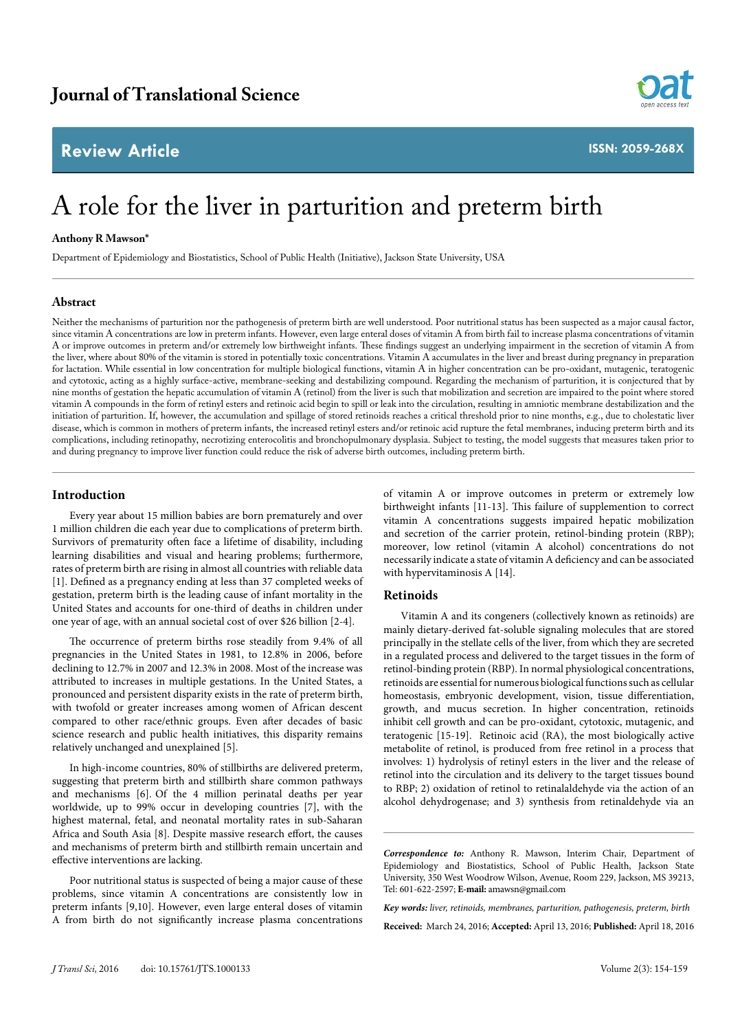# **Review Article**



**ISSN: 2059-268X**

# A role for the liver in parturition and preterm birth

### **Anthony R Mawson\***

Department of Epidemiology and Biostatistics, School of Public Health (Initiative), Jackson State University, USA

#### **Abstract**

Neither the mechanisms of parturition nor the pathogenesis of preterm birth are well understood. Poor nutritional status has been suspected as a major causal factor, since vitamin A concentrations are low in preterm infants. However, even large enteral doses of vitamin A from birth fail to increase plasma concentrations of vitamin A or improve outcomes in preterm and/or extremely low birthweight infants. These findings suggest an underlying impairment in the secretion of vitamin A from the liver, where about 80% of the vitamin is stored in potentially toxic concentrations. Vitamin A accumulates in the liver and breast during pregnancy in preparation for lactation. While essential in low concentration for multiple biological functions, vitamin A in higher concentration can be pro-oxidant, mutagenic, teratogenic and cytotoxic, acting as a highly surface-active, membrane-seeking and destabilizing compound. Regarding the mechanism of parturition, it is conjectured that by nine months of gestation the hepatic accumulation of vitamin A (retinol) from the liver is such that mobilization and secretion are impaired to the point where stored vitamin A compounds in the form of retinyl esters and retinoic acid begin to spill or leak into the circulation, resulting in amniotic membrane destabilization and the initiation of parturition. If, however, the accumulation and spillage of stored retinoids reaches a critical threshold prior to nine months, e.g., due to cholestatic liver disease, which is common in mothers of preterm infants, the increased retinyl esters and/or retinoic acid rupture the fetal membranes, inducing preterm birth and its complications, including retinopathy, necrotizing enterocolitis and bronchopulmonary dysplasia. Subject to testing, the model suggests that measures taken prior to and during pregnancy to improve liver function could reduce the risk of adverse birth outcomes, including preterm birth.

### **Introduction**

Every year about 15 million babies are born prematurely and over 1 million children die each year due to complications of preterm birth. Survivors of prematurity often face a lifetime of disability, including learning disabilities and visual and hearing problems; furthermore, rates of preterm birth are rising in almost all countries with reliable data [1]. Defined as a pregnancy ending at less than 37 completed weeks of gestation, preterm birth is the leading cause of infant mortality in the United States and accounts for one-third of deaths in children under one year of age, with an annual societal cost of over \$26 billion [2-4].

The occurrence of preterm births rose steadily from 9.4% of all pregnancies in the United States in 1981, to 12.8% in 2006, before declining to 12.7% in 2007 and 12.3% in 2008. Most of the increase was attributed to increases in multiple gestations. In the United States, a pronounced and persistent disparity exists in the rate of preterm birth, with twofold or greater increases among women of African descent compared to other race/ethnic groups. Even after decades of basic science research and public health initiatives, this disparity remains relatively unchanged and unexplained [5].

In high-income countries, 80% of stillbirths are delivered preterm, suggesting that preterm birth and stillbirth share common pathways and mechanisms [6]. Of the 4 million perinatal deaths per year worldwide, up to 99% occur in developing countries [7], with the highest maternal, fetal, and neonatal mortality rates in sub-Saharan Africa and South Asia [8]. Despite massive research effort, the causes and mechanisms of preterm birth and stillbirth remain uncertain and effective interventions are lacking.

Poor nutritional status is suspected of being a major cause of these problems, since vitamin A concentrations are consistently low in preterm infants [9,10]. However, even large enteral doses of vitamin A from birth do not significantly increase plasma concentrations

of vitamin A or improve outcomes in preterm or extremely low birthweight infants [11-13]. This failure of supplemention to correct vitamin A concentrations suggests impaired hepatic mobilization and secretion of the carrier protein, retinol-binding protein (RBP); moreover, low retinol (vitamin A alcohol) concentrations do not necessarily indicate a state of vitamin A deficiency and can be associated with hypervitaminosis A [14].

# **Retinoids**

Vitamin A and its congeners (collectively known as retinoids) are mainly dietary-derived fat-soluble signaling molecules that are stored principally in the stellate cells of the liver, from which they are secreted in a regulated process and delivered to the target tissues in the form of retinol-binding protein (RBP). In normal physiological concentrations, retinoids are essential for numerous biological functions such as cellular homeostasis, embryonic development, vision, tissue differentiation, growth, and mucus secretion. In higher concentration, retinoids inhibit cell growth and can be pro-oxidant, cytotoxic, mutagenic, and teratogenic [15-19]. Retinoic acid (RA), the most biologically active metabolite of retinol, is produced from free retinol in a process that involves: 1) hydrolysis of retinyl esters in the liver and the release of retinol into the circulation and its delivery to the target tissues bound to RBP; 2) oxidation of retinol to retinalaldehyde via the action of an alcohol dehydrogenase; and 3) synthesis from retinaldehyde via an

**Received:** March 24, 2016; **Accepted:** April 13, 2016; **Published:** April 18, 2016

*Correspondence to:* Anthony R. Mawson, Interim Chair, Department of Epidemiology and Biostatistics, School of Public Health, Jackson State University, 350 West Woodrow Wilson, Avenue, Room 229, Jackson, MS 39213, Tel: 601-622-2597; **E-mail:** amawsn@gmail.com

*Key words: liver, retinoids, membranes, parturition, pathogenesis, preterm, birth*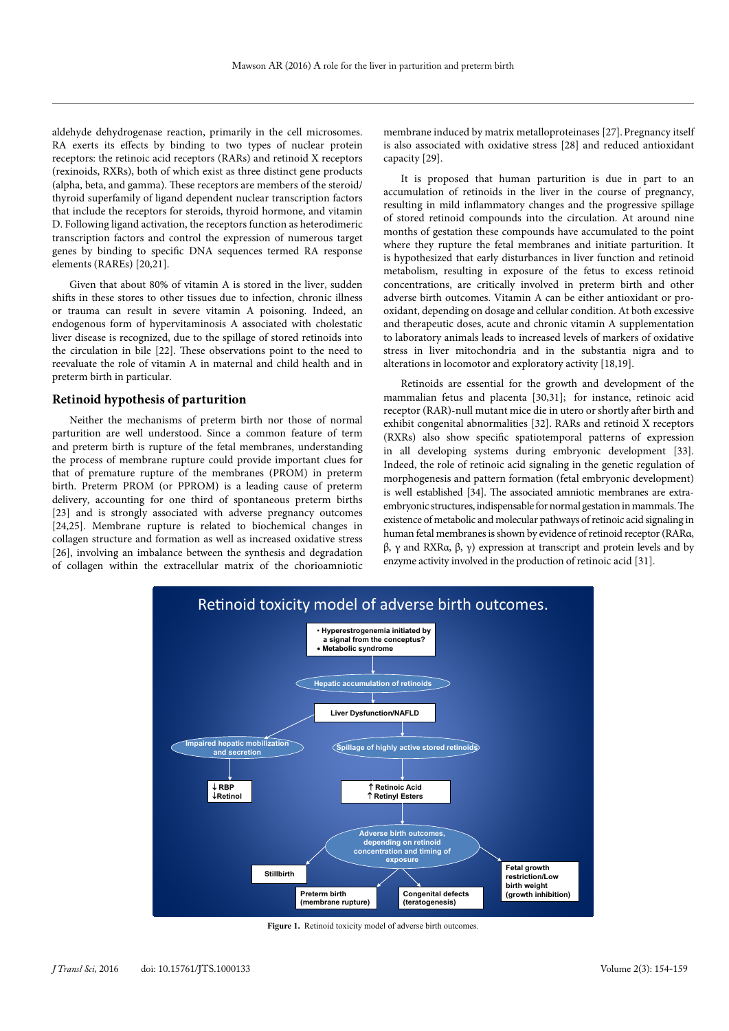aldehyde dehydrogenase reaction, primarily in the cell microsomes. RA exerts its effects by binding to two types of nuclear protein receptors: the retinoic acid receptors (RARs) and retinoid X receptors (rexinoids, RXRs), both of which exist as three distinct gene products (alpha, beta, and gamma). These receptors are members of the steroid/ thyroid superfamily of ligand dependent nuclear transcription factors that include the receptors for steroids, thyroid hormone, and vitamin D. Following ligand activation, the receptors function as heterodimeric transcription factors and control the expression of numerous target genes by binding to specific DNA sequences termed RA response elements (RAREs) [20,21].

Given that about 80% of vitamin A is stored in the liver, sudden shifts in these stores to other tissues due to infection, chronic illness or trauma can result in severe vitamin A poisoning. Indeed, an endogenous form of hypervitaminosis A associated with cholestatic liver disease is recognized, due to the spillage of stored retinoids into the circulation in bile [22]. These observations point to the need to reevaluate the role of vitamin A in maternal and child health and in preterm birth in particular.

#### **Retinoid hypothesis of parturition**

Neither the mechanisms of preterm birth nor those of normal parturition are well understood. Since a common feature of term and preterm birth is rupture of the fetal membranes, understanding the process of membrane rupture could provide important clues for that of premature rupture of the membranes (PROM) in preterm birth. Preterm PROM (or PPROM) is a leading cause of preterm delivery, accounting for one third of spontaneous preterm births [23] and is strongly associated with adverse pregnancy outcomes [24,25]. Membrane rupture is related to biochemical changes in collagen structure and formation as well as increased oxidative stress [26], involving an imbalance between the synthesis and degradation of collagen within the extracellular matrix of the chorioamniotic membrane induced by matrix metalloproteinases [27]. Pregnancy itself is also associated with oxidative stress [28] and reduced antioxidant capacity [29].

It is proposed that human parturition is due in part to an accumulation of retinoids in the liver in the course of pregnancy, resulting in mild inflammatory changes and the progressive spillage of stored retinoid compounds into the circulation. At around nine months of gestation these compounds have accumulated to the point where they rupture the fetal membranes and initiate parturition. It is hypothesized that early disturbances in liver function and retinoid metabolism, resulting in exposure of the fetus to excess retinoid concentrations, are critically involved in preterm birth and other adverse birth outcomes. Vitamin A can be either antioxidant or prooxidant, depending on dosage and cellular condition. At both excessive and therapeutic doses, acute and chronic vitamin A supplementation to laboratory animals leads to increased levels of markers of oxidative stress in liver mitochondria and in the substantia nigra and to alterations in locomotor and exploratory activity [18,19].

Retinoids are essential for the growth and development of the mammalian fetus and placenta [30,31]; for instance, retinoic acid receptor (RAR)-null mutant mice die in utero or shortly after birth and exhibit congenital abnormalities [32]. RARs and retinoid X receptors (RXRs) also show specific spatiotemporal patterns of expression in all developing systems during embryonic development [33]. Indeed, the role of retinoic acid signaling in the genetic regulation of morphogenesis and pattern formation (fetal embryonic development) is well established [34]. The associated amniotic membranes are extraembryonic structures, indispensable for normal gestation in mammals. The existence of metabolic and molecular pathways of retinoic acid signaling in human fetal membranes is shown by evidence of retinoid receptor (RARα, β, γ and RXRα, β, γ) expression at transcript and protein levels and by enzyme activity involved in the production of retinoic acid [31].



**Figure 1.** Retinoid toxicity model of adverse birth outcomes.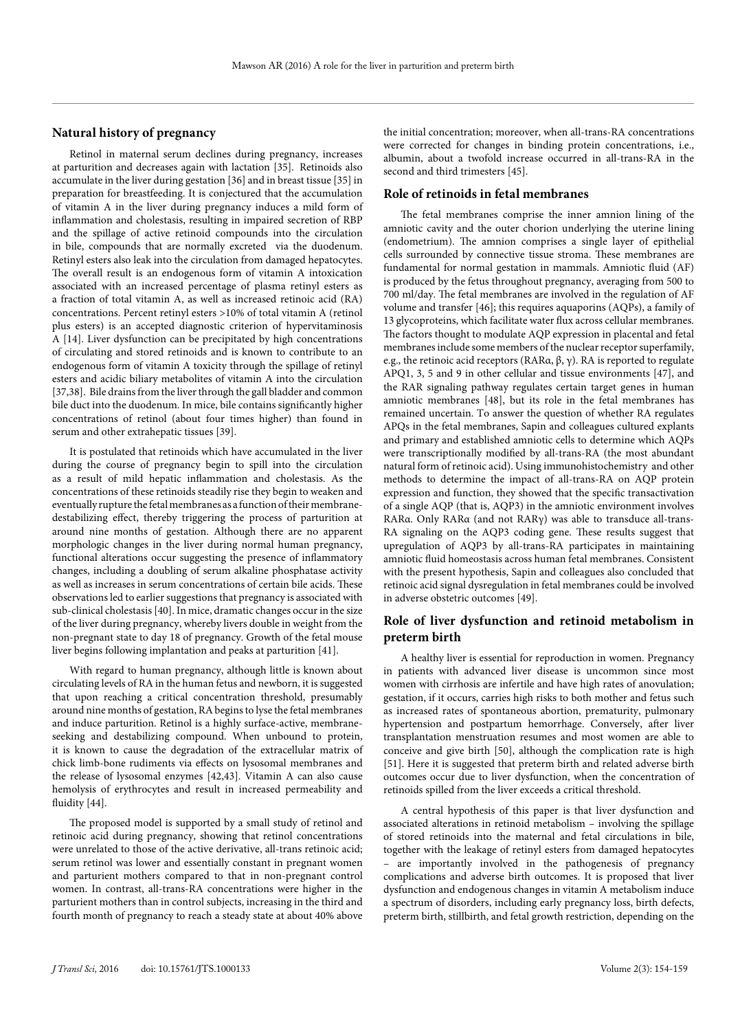# **Natural history of pregnancy**

Retinol in maternal serum declines during pregnancy, increases at parturition and decreases again with lactation [35]. Retinoids also accumulate in the liver during gestation [36] and in breast tissue [35] in preparation for breastfeeding. It is conjectured that the accumulation of vitamin A in the liver during pregnancy induces a mild form of inflammation and cholestasis, resulting in impaired secretion of RBP and the spillage of active retinoid compounds into the circulation in bile, compounds that are normally excreted via the duodenum. Retinyl esters also leak into the circulation from damaged hepatocytes. The overall result is an endogenous form of vitamin A intoxication associated with an increased percentage of plasma retinyl esters as a fraction of total vitamin A, as well as increased retinoic acid (RA) concentrations. Percent retinyl esters >10% of total vitamin A (retinol plus esters) is an accepted diagnostic criterion of hypervitaminosis A [14]. Liver dysfunction can be precipitated by high concentrations of circulating and stored retinoids and is known to contribute to an endogenous form of vitamin A toxicity through the spillage of retinyl esters and acidic biliary metabolites of vitamin A into the circulation [37,38]. Bile drains from the liver through the gall bladder and common bile duct into the duodenum. In mice, bile contains significantly higher concentrations of retinol (about four times higher) than found in serum and other extrahepatic tissues [39].

It is postulated that retinoids which have accumulated in the liver during the course of pregnancy begin to spill into the circulation as a result of mild hepatic inflammation and cholestasis. As the concentrations of these retinoids steadily rise they begin to weaken and eventually rupture the fetal membranes as a function of their membranedestabilizing effect, thereby triggering the process of parturition at around nine months of gestation. Although there are no apparent morphologic changes in the liver during normal human pregnancy, functional alterations occur suggesting the presence of inflammatory changes, including a doubling of serum alkaline phosphatase activity as well as increases in serum concentrations of certain bile acids. These observations led to earlier suggestions that pregnancy is associated with sub-clinical cholestasis [40]. In mice, dramatic changes occur in the size of the liver during pregnancy, whereby livers double in weight from the non-pregnant state to day 18 of pregnancy. Growth of the fetal mouse liver begins following implantation and peaks at parturition [41].

With regard to human pregnancy, although little is known about circulating levels of RA in the human fetus and newborn, it is suggested that upon reaching a critical concentration threshold, presumably around nine months of gestation, RA begins to lyse the fetal membranes and induce parturition. Retinol is a highly surface-active, membraneseeking and destabilizing compound. When unbound to protein, it is known to cause the degradation of the extracellular matrix of chick limb-bone rudiments via effects on lysosomal membranes and the release of lysosomal enzymes [42,43]. Vitamin A can also cause hemolysis of erythrocytes and result in increased permeability and fluidity [44].

The proposed model is supported by a small study of retinol and retinoic acid during pregnancy, showing that retinol concentrations were unrelated to those of the active derivative, all-trans retinoic acid; serum retinol was lower and essentially constant in pregnant women and parturient mothers compared to that in non-pregnant control women. In contrast, all-trans-RA concentrations were higher in the parturient mothers than in control subjects, increasing in the third and fourth month of pregnancy to reach a steady state at about 40% above the initial concentration; moreover, when all-trans-RA concentrations were corrected for changes in binding protein concentrations, i.e., albumin, about a twofold increase occurred in all-trans-RA in the second and third trimesters [45].

# **Role of retinoids in fetal membranes**

The fetal membranes comprise the inner amnion lining of the amniotic cavity and the outer chorion underlying the uterine lining (endometrium). The amnion comprises a single layer of epithelial cells surrounded by connective tissue stroma. These membranes are fundamental for normal gestation in mammals. Amniotic fluid (AF) is produced by the fetus throughout pregnancy, averaging from 500 to 700 ml/day. The fetal membranes are involved in the regulation of AF volume and transfer [46]; this requires aquaporins (AQPs), a family of 13 glycoproteins, which facilitate water flux across cellular membranes. The factors thought to modulate AQP expression in placental and fetal membranes include some members of the nuclear receptor superfamily, e.g., the retinoic acid receptors (RARα, β, γ). RA is reported to regulate APQ1, 3, 5 and 9 in other cellular and tissue environments [47], and the RAR signaling pathway regulates certain target genes in human amniotic membranes [48], but its role in the fetal membranes has remained uncertain. To answer the question of whether RA regulates APQs in the fetal membranes, Sapin and colleagues cultured explants and primary and established amniotic cells to determine which AQPs were transcriptionally modified by all-trans-RA (the most abundant natural form of retinoic acid). Using immunohistochemistry and other methods to determine the impact of all-trans-RA on AQP protein expression and function, they showed that the specific transactivation of a single AQP (that is, AQP3) in the amniotic environment involves RARα. Only RARα (and not RARγ) was able to transduce all-trans-RA signaling on the AQP3 coding gene. These results suggest that upregulation of AQP3 by all-trans-RA participates in maintaining amniotic fluid homeostasis across human fetal membranes. Consistent with the present hypothesis, Sapin and colleagues also concluded that retinoic acid signal dysregulation in fetal membranes could be involved in adverse obstetric outcomes [49].

# **Role of liver dysfunction and retinoid metabolism in preterm birth**

A healthy liver is essential for reproduction in women. Pregnancy in patients with advanced liver disease is uncommon since most women with cirrhosis are infertile and have high rates of anovulation; gestation, if it occurs, carries high risks to both mother and fetus such as increased rates of spontaneous abortion, prematurity, pulmonary hypertension and postpartum hemorrhage. Conversely, after liver transplantation menstruation resumes and most women are able to conceive and give birth [50], although the complication rate is high [51]. Here it is suggested that preterm birth and related adverse birth outcomes occur due to liver dysfunction, when the concentration of retinoids spilled from the liver exceeds a critical threshold.

A central hypothesis of this paper is that liver dysfunction and associated alterations in retinoid metabolism – involving the spillage of stored retinoids into the maternal and fetal circulations in bile, together with the leakage of retinyl esters from damaged hepatocytes – are importantly involved in the pathogenesis of pregnancy complications and adverse birth outcomes. It is proposed that liver dysfunction and endogenous changes in vitamin A metabolism induce a spectrum of disorders, including early pregnancy loss, birth defects, preterm birth, stillbirth, and fetal growth restriction, depending on the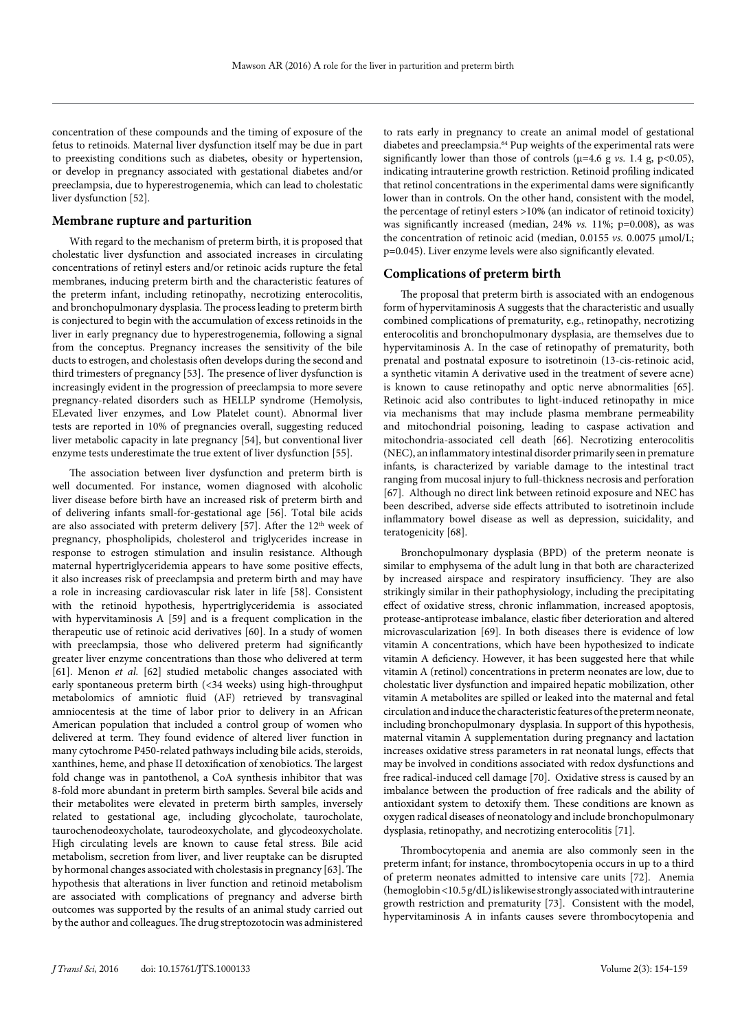concentration of these compounds and the timing of exposure of the fetus to retinoids. Maternal liver dysfunction itself may be due in part to preexisting conditions such as diabetes, obesity or hypertension, or develop in pregnancy associated with gestational diabetes and/or preeclampsia, due to hyperestrogenemia, which can lead to cholestatic liver dysfunction [52].

# **Membrane rupture and parturition**

With regard to the mechanism of preterm birth, it is proposed that cholestatic liver dysfunction and associated increases in circulating concentrations of retinyl esters and/or retinoic acids rupture the fetal membranes, inducing preterm birth and the characteristic features of the preterm infant, including retinopathy, necrotizing enterocolitis, and bronchopulmonary dysplasia. The process leading to preterm birth is conjectured to begin with the accumulation of excess retinoids in the liver in early pregnancy due to hyperestrogenemia, following a signal from the conceptus. Pregnancy increases the sensitivity of the bile ducts to estrogen, and cholestasis often develops during the second and third trimesters of pregnancy [53]. The presence of liver dysfunction is increasingly evident in the progression of preeclampsia to more severe pregnancy-related disorders such as HELLP syndrome (Hemolysis, ELevated liver enzymes, and Low Platelet count). Abnormal liver tests are reported in 10% of pregnancies overall, suggesting reduced liver metabolic capacity in late pregnancy [54], but conventional liver enzyme tests underestimate the true extent of liver dysfunction [55].

The association between liver dysfunction and preterm birth is well documented. For instance, women diagnosed with alcoholic liver disease before birth have an increased risk of preterm birth and of delivering infants small-for-gestational age [56]. Total bile acids are also associated with preterm delivery [57]. After the  $12<sup>th</sup>$  week of pregnancy, phospholipids, cholesterol and triglycerides increase in response to estrogen stimulation and insulin resistance. Although maternal hypertriglyceridemia appears to have some positive effects, it also increases risk of preeclampsia and preterm birth and may have a role in increasing cardiovascular risk later in life [58]. Consistent with the retinoid hypothesis, hypertriglyceridemia is associated with hypervitaminosis A [59] and is a frequent complication in the therapeutic use of retinoic acid derivatives [60]. In a study of women with preeclampsia, those who delivered preterm had significantly greater liver enzyme concentrations than those who delivered at term [61]. Menon *et al.* [62] studied metabolic changes associated with early spontaneous preterm birth (<34 weeks) using high-throughput metabolomics of amniotic fluid (AF) retrieved by transvaginal amniocentesis at the time of labor prior to delivery in an African American population that included a control group of women who delivered at term. They found evidence of altered liver function in many cytochrome P450-related pathways including bile acids, steroids, xanthines, heme, and phase II detoxification of xenobiotics. The largest fold change was in pantothenol, a CoA synthesis inhibitor that was 8-fold more abundant in preterm birth samples. Several bile acids and their metabolites were elevated in preterm birth samples, inversely related to gestational age, including glycocholate, taurocholate, taurochenodeoxycholate, taurodeoxycholate, and glycodeoxycholate. High circulating levels are known to cause fetal stress. Bile acid metabolism, secretion from liver, and liver reuptake can be disrupted by hormonal changes associated with cholestasis in pregnancy [63]. The hypothesis that alterations in liver function and retinoid metabolism are associated with complications of pregnancy and adverse birth outcomes was supported by the results of an animal study carried out by the author and colleagues. The drug streptozotocin was administered to rats early in pregnancy to create an animal model of gestational diabetes and preeclampsia.<sup>64</sup> Pup weights of the experimental rats were significantly lower than those of controls ( $\mu$ =4.6 g *vs.* 1.4 g, p<0.05), indicating intrauterine growth restriction. Retinoid profiling indicated that retinol concentrations in the experimental dams were significantly lower than in controls. On the other hand, consistent with the model, the percentage of retinyl esters >10% (an indicator of retinoid toxicity) was significantly increased (median, 24% *vs.* 11%; p=0.008), as was the concentration of retinoic acid (median, 0.0155 *vs.* 0.0075 µmol/L; p=0.045). Liver enzyme levels were also significantly elevated.

#### **Complications of preterm birth**

The proposal that preterm birth is associated with an endogenous form of hypervitaminosis A suggests that the characteristic and usually combined complications of prematurity, e.g., retinopathy, necrotizing enterocolitis and bronchopulmonary dysplasia, are themselves due to hypervitaminosis A. In the case of retinopathy of prematurity, both prenatal and postnatal exposure to isotretinoin (13-cis-retinoic acid, a synthetic vitamin A derivative used in the treatment of severe acne) is known to cause retinopathy and optic nerve abnormalities [65]. Retinoic acid also contributes to light-induced retinopathy in mice via mechanisms that may include plasma membrane permeability and mitochondrial poisoning, leading to caspase activation and mitochondria-associated cell death [66]. Necrotizing enterocolitis (NEC), an inflammatory intestinal disorder primarily seen in premature infants, is characterized by variable damage to the intestinal tract ranging from mucosal injury to full-thickness necrosis and perforation [67]. Although no direct link between retinoid exposure and NEC has been described, adverse side effects attributed to isotretinoin include inflammatory bowel disease as well as depression, suicidality, and teratogenicity [68].

Bronchopulmonary dysplasia (BPD) of the preterm neonate is similar to emphysema of the adult lung in that both are characterized by increased airspace and respiratory insufficiency. They are also strikingly similar in their pathophysiology, including the precipitating effect of oxidative stress, chronic inflammation, increased apoptosis, protease-antiprotease imbalance, elastic fiber deterioration and altered microvascularization [69]. In both diseases there is evidence of low vitamin A concentrations, which have been hypothesized to indicate vitamin A deficiency. However, it has been suggested here that while vitamin A (retinol) concentrations in preterm neonates are low, due to cholestatic liver dysfunction and impaired hepatic mobilization, other vitamin A metabolites are spilled or leaked into the maternal and fetal circulation and induce the characteristic features of the preterm neonate, including bronchopulmonary dysplasia. In support of this hypothesis, maternal vitamin A supplementation during pregnancy and lactation increases oxidative stress parameters in rat neonatal lungs, effects that may be involved in conditions associated with redox dysfunctions and free radical-induced cell damage [70]. Oxidative stress is caused by an imbalance between the production of free radicals and the ability of antioxidant system to detoxify them. These conditions are known as oxygen radical diseases of neonatology and include bronchopulmonary dysplasia, retinopathy, and necrotizing enterocolitis [71].

Thrombocytopenia and anemia are also commonly seen in the preterm infant; for instance, thrombocytopenia occurs in up to a third of preterm neonates admitted to intensive care units [72]. Anemia (hemoglobin <10.5 g/dL) is likewise strongly associated with intrauterine growth restriction and prematurity [73]. Consistent with the model, hypervitaminosis A in infants causes severe thrombocytopenia and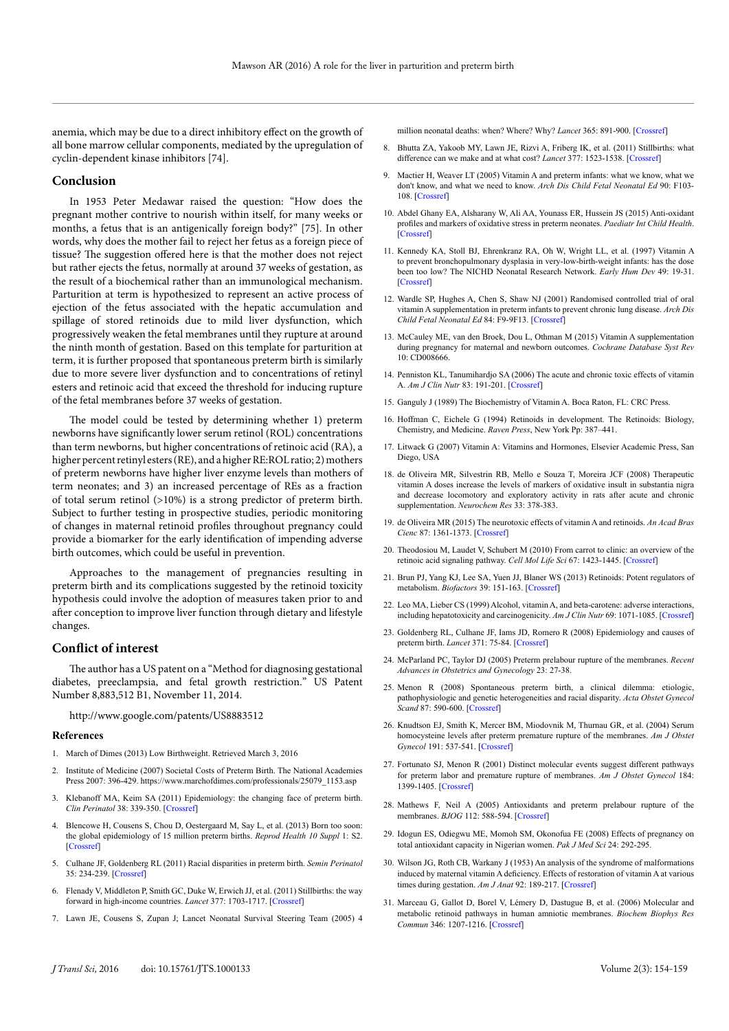anemia, which may be due to a direct inhibitory effect on the growth of all bone marrow cellular components, mediated by the upregulation of cyclin-dependent kinase inhibitors [74].

#### **Conclusion**

In 1953 Peter Medawar raised the question: "How does the pregnant mother contrive to nourish within itself, for many weeks or months, a fetus that is an antigenically foreign body?" [75]. In other words, why does the mother fail to reject her fetus as a foreign piece of tissue? The suggestion offered here is that the mother does not reject but rather ejects the fetus, normally at around 37 weeks of gestation, as the result of a biochemical rather than an immunological mechanism. Parturition at term is hypothesized to represent an active process of ejection of the fetus associated with the hepatic accumulation and spillage of stored retinoids due to mild liver dysfunction, which progressively weaken the fetal membranes until they rupture at around the ninth month of gestation. Based on this template for parturition at term, it is further proposed that spontaneous preterm birth is similarly due to more severe liver dysfunction and to concentrations of retinyl esters and retinoic acid that exceed the threshold for inducing rupture of the fetal membranes before 37 weeks of gestation.

The model could be tested by determining whether 1) preterm newborns have significantly lower serum retinol (ROL) concentrations than term newborns, but higher concentrations of retinoic acid (RA), a higher percent retinyl esters (RE), and a higher RE:ROL ratio; 2) mothers of preterm newborns have higher liver enzyme levels than mothers of term neonates; and 3) an increased percentage of REs as a fraction of total serum retinol (>10%) is a strong predictor of preterm birth. Subject to further testing in prospective studies, periodic monitoring of changes in maternal retinoid profiles throughout pregnancy could provide a biomarker for the early identification of impending adverse birth outcomes, which could be useful in prevention.

Approaches to the management of pregnancies resulting in preterm birth and its complications suggested by the retinoid toxicity hypothesis could involve the adoption of measures taken prior to and after conception to improve liver function through dietary and lifestyle changes.

#### **Conflict of interest**

The author has a US patent on a "Method for diagnosing gestational diabetes, preeclampsia, and fetal growth restriction." US Patent Number 8,883,512 B1, November 11, 2014.

<http://www.google.com/patents/US8883512>

#### **References**

- 1. March of Dimes (2013) Low Birthweight. Retrieved March 3, 2016
- 2. Institute of Medicine (2007) Societal Costs of Preterm Birth. The National Academies Press 2007: 396-429. https://www.marchofdimes.com/professionals/25079\_1153.asp
- 3. Klebanoff MA, Keim SA (2011) Epidemiology: the changing face of preterm birth. *Clin Perinatol* 38: 339-350. [\[Crossref\]](http://www.ncbi.nlm.nih.gov/pubmed/21890013)
- 4. Blencowe H, Cousens S, Chou D, Oestergaard M, Say L, et al. (2013) Born too soon: the global epidemiology of 15 million preterm births. *Reprod Health 10 Suppl* 1: S2. [\[Crossref\]](http://www.ncbi.nlm.nih.gov/pubmed/24625129)
- 5. Culhane JF, Goldenberg RL (2011) Racial disparities in preterm birth. *Semin Perinatol* 35: 234-239. [\[Crossref\]](http://www.ncbi.nlm.nih.gov/pubmed/21798403)
- 6. Flenady V, Middleton P, Smith GC, Duke W, Erwich JJ, et al. (2011) Stillbirths: the way forward in high-income countries. *Lancet* 377: 1703-1717. [\[Crossref\]](http://www.ncbi.nlm.nih.gov/pubmed/21496907)
- 7. Lawn JE, Cousens S, Zupan J; Lancet Neonatal Survival Steering Team (2005) 4

million neonatal deaths: when? Where? Why? *Lancet* 365: 891-900. [\[Crossref\]](http://www.ncbi.nlm.nih.gov/pubmed/15752534)

- 8. Bhutta ZA, Yakoob MY, Lawn JE, Rizvi A, Friberg IK, et al. (2011) Stillbirths: what difference can we make and at what cost? *Lancet* 377: 1523-1538. [\[Crossref\]](http://www.ncbi.nlm.nih.gov/pubmed/21496906)
- Mactier H, Weaver LT (2005) Vitamin A and preterm infants: what we know, what we don't know, and what we need to know. *Arch Dis Child Fetal Neonatal Ed* 90: F103- 108. [\[Crossref\]](http://www.ncbi.nlm.nih.gov/pubmed/15724031)
- 10. Abdel Ghany EA, Alsharany W, Ali AA, Younass ER, Hussein JS (2015) Anti-oxidant profiles and markers of oxidative stress in preterm neonates. *Paediatr Int Child Health*. [\[Crossref\]](http://www.ncbi.nlm.nih.gov/pubmed/25940692)
- 11. Kennedy KA, Stoll BJ, Ehrenkranz RA, Oh W, Wright LL, et al. (1997) Vitamin A to prevent bronchopulmonary dysplasia in very-low-birth-weight infants: has the dose been too low? The NICHD Neonatal Research Network. *Early Hum Dev* 49: 19-31. [\[Crossref\]](http://www.ncbi.nlm.nih.gov/pubmed/9179535)
- 12. Wardle SP, Hughes A, Chen S, Shaw NJ (2001) Randomised controlled trial of oral vitamin A supplementation in preterm infants to prevent chronic lung disease. *Arch Dis Child Fetal Neonatal Ed* 84: F9-9F13. [\[Crossref\]](http://www.ncbi.nlm.nih.gov/pubmed/11124916)
- 13. McCauley ME, van den Broek, Dou L, Othman M (2015) Vitamin A supplementation during pregnancy for maternal and newborn outcomes. *Cochrane Database Syst Rev* 10: CD008666.
- 14. Penniston KL, Tanumihardjo SA (2006) The acute and chronic toxic effects of vitamin A. *Am J Clin Nutr* 83: 191-201. [\[Crossref\]](http://www.ncbi.nlm.nih.gov/pubmed/16469975)
- 15. Ganguly J (1989) The Biochemistry of Vitamin A. Boca Raton, FL: CRC Press.
- 16. Hoffman C, Eichele G (1994) Retinoids in development. The Retinoids: Biology, Chemistry, and Medicine. *Raven Press*, New York Pp: 387–441.
- 17. Litwack G (2007) Vitamin A: Vitamins and Hormones, Elsevier Academic Press, San Diego, USA
- 18. de Oliveira MR, Silvestrin RB, Mello e Souza T, Moreira JCF (2008) Therapeutic vitamin A doses increase the levels of markers of oxidative insult in substantia nigra and decrease locomotory and exploratory activity in rats after acute and chronic supplementation. *Neurochem Res* 33: 378-383.
- 19. de Oliveira MR (2015) The neurotoxic effects of vitamin A and retinoids. *An Acad Bras Cienc* 87: 1361-1373. [\[Crossref\]](http://www.ncbi.nlm.nih.gov/pubmed/26247148)
- 20. Theodosiou M, Laudet V, Schubert M (2010) From carrot to clinic: an overview of the retinoic acid signaling pathway. *Cell Mol Life Sci* 67: 1423-1445. [\[Crossref\]](http://www.ncbi.nlm.nih.gov/pubmed/20140749)
- 21. Brun PJ, Yang KJ, Lee SA, Yuen JJ, Blaner WS (2013) Retinoids: Potent regulators of metabolism. *Biofactors* 39: 151-163. [\[Crossref\]](http://www.ncbi.nlm.nih.gov/pubmed/23281051)
- 22. Leo MA, Lieber CS (1999) Alcohol, vitamin A, and beta-carotene: adverse interactions, including hepatotoxicity and carcinogenicity. *Am J Clin Nutr* 69: 1071-1085. [\[Crossref\]](http://www.ncbi.nlm.nih.gov/pubmed/10357725)
- 23. Goldenberg RL, Culhane JF, Iams JD, Romero R (2008) Epidemiology and causes of preterm birth. *Lancet* 371: 75-84. [\[Crossref\]](http://www.ncbi.nlm.nih.gov/pubmed/18177778)
- 24. McParland PC, Taylor DJ (2005) Preterm prelabour rupture of the membranes. *Recent Advances in Obstetrics and Gynecology* 23: 27-38.
- 25. Menon R (2008) Spontaneous preterm birth, a clinical dilemma: etiologic, pathophysiologic and genetic heterogeneities and racial disparity. *Acta Obstet Gynecol Scand* 87: 590-600. [\[Crossref\]](http://www.ncbi.nlm.nih.gov/pubmed/18568457)
- 26. Knudtson EJ, Smith K, Mercer BM, Miodovnik M, Thurnau GR, et al. (2004) Serum homocysteine levels after preterm premature rupture of the membranes. *Am J Obstet Gynecol* 191: 537-541. [\[Crossref\]](http://www.ncbi.nlm.nih.gov/pubmed/15343233)
- 27. Fortunato SJ, Menon R (2001) Distinct molecular events suggest different pathways for preterm labor and premature rupture of membranes. *Am J Obstet Gynecol* 184: 1399-1405. [\[Crossref\]](http://www.ncbi.nlm.nih.gov/pubmed/11408859)
- 28. Mathews F, Neil A (2005) Antioxidants and preterm prelabour rupture of the membranes. *BJOG* 112: 588-594. [\[Crossref\]](http://www.ncbi.nlm.nih.gov/pubmed/15842282)
- 29. Idogun ES, Odiegwu ME, Momoh SM, Okonofua FE (2008) Effects of pregnancy on total antioxidant capacity in Nigerian women. *Pak J Med Sci* 24: 292-295.
- 30. Wilson JG, Roth CB, Warkany J (1953) An analysis of the syndrome of malformations induced by maternal vitamin A deficiency. Effects of restoration of vitamin A at various times during gestation. *Am J Anat* 92: 189-217. [\[Crossref\]](http://www.ncbi.nlm.nih.gov/pubmed/13030424)
- 31. Marceau G, Gallot D, Borel V, Lémery D, Dastugue B, et al. (2006) Molecular and metabolic retinoid pathways in human amniotic membranes. *Biochem Biophys Res Commun* 346: 1207-1216. [\[Crossref\]](http://www.ncbi.nlm.nih.gov/pubmed/16793012)